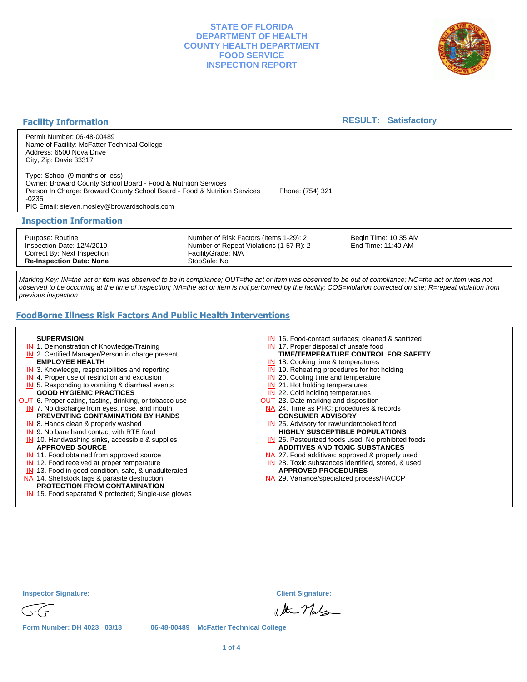

### **Facility Information**

### **RESULT: Satisfactory**

Permit Number: 06-48-00489 Name of Facility: McFatter Technical College Address: 6500 Nova Drive City, Zip: Davie 33317

Type: School (9 months or less) Owner: Broward County School Board - Food & Nutrition Services Person In Charge: Broward County School Board - Food & Nutrition Services Phone: (754) 321 -0235

PIC Email: steven.mosley@browardschools.com

#### **Inspection Information**

Purpose: Routine Inspection Date: 12/4/2019 Correct By: Next Inspection **Re-Inspection Date: None**

Number of Risk Factors (Items 1-29): 2 Number of Repeat Violations (1-57 R): 2 FacilityGrade: N/A StopSale: No

Begin Time: 10:35 AM End Time: 11:40 AM

Marking Key: IN=the act or item was observed to be in compliance; OUT=the act or item was observed to be out of compliance; NO=the act or item was not observed to be occurring at the time of inspection; NA=the act or item is not performed by the facility; COS=violation corrected on site; R=repeat violation from previous inspection

# **FoodBorne Illness Risk Factors And Public Health Interventions**

#### **SUPERVISION**

- **IN** 1. Demonstration of Knowledge/Training
- **IN** 2. Certified Manager/Person in charge present **EMPLOYEE HEALTH**
- **IN** 3. Knowledge, responsibilities and reporting
- **IN** 4. Proper use of restriction and exclusion
- **IN** 5. Responding to vomiting & diarrheal events **GOOD HYGIENIC PRACTICES**
- **OUT** 6. Proper eating, tasting, drinking, or tobacco use **IN** 7. No discharge from eyes, nose, and mouth **PREVENTING CONTAMINATION BY HANDS**
	- IN 8. Hands clean & properly washed
	- **IN** 9. No bare hand contact with RTE food
	- IN 10. Handwashing sinks, accessible & supplies **APPROVED SOURCE**
	- **IN** 11. Food obtained from approved source
	- **IN** 12. Food received at proper temperature
	- IN 13. Food in good condition, safe, & unadulterated
- NA 14. Shellstock tags & parasite destruction
- **PROTECTION FROM CONTAMINATION**
- IN 15. Food separated & protected; Single-use gloves
- IN 16. Food-contact surfaces; cleaned & sanitized
- IN 17. Proper disposal of unsafe food
- IN 18. Cooking time & temperatures **TIME/TEMPERATURE CONTROL FOR SAFETY**
- **IN** 19. Reheating procedures for hot holding
- **IN** 20. Cooling time and temperature
- IN 21. Hot holding temperatures
- **IN** 22. Cold holding temperatures
- **OUT** 23. Date marking and disposition
- NA 24. Time as PHC; procedures & records **CONSUMER ADVISORY**
- IN 25. Advisory for raw/undercooked food **HIGHLY SUSCEPTIBLE POPULATIONS**
- IN 26. Pasteurized foods used; No prohibited foods **ADDITIVES AND TOXIC SUBSTANCES**
- NA 27. Food additives: approved & properly used
- IN 28. Toxic substances identified, stored, & used
- **APPROVED PROCEDURES**
- NA 29. Variance/specialized process/HACCP



& the Mals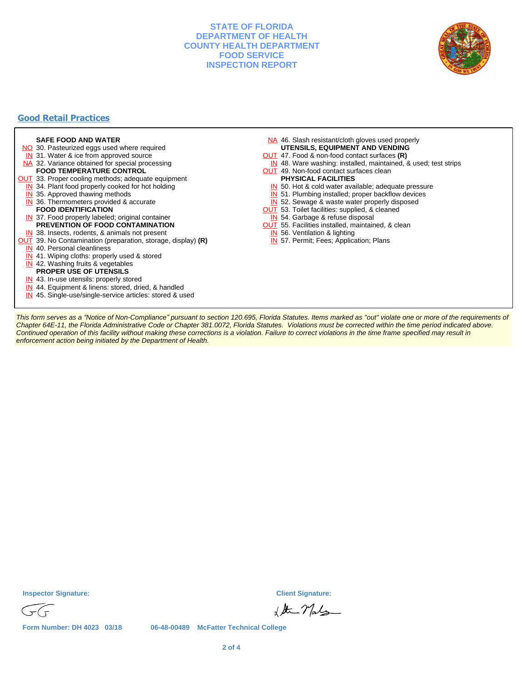

## **Good Retail Practices**



This form serves as a "Notice of Non-Compliance" pursuant to section 120.695, Florida Statutes. Items marked as "out" violate one or more of the requirements of Chapter 64E-11, the Florida Administrative Code or Chapter 381.0072, Florida Statutes. Violations must be corrected within the time period indicated above. Continued operation of this facility without making these corrections is a violation. Failure to correct violations in the time frame specified may result in enforcement action being initiated by the Department of Health.

**Inspector Signature: Client Signature:**

& the Mals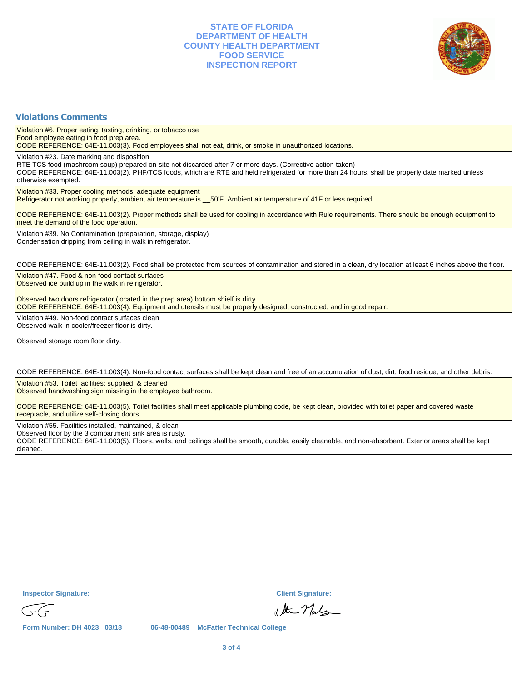

# **Violations Comments**

Violation #6. Proper eating, tasting, drinking, or tobacco use Food employee eating in food prep area.

CODE REFERENCE: 64E-11.003(3). Food employees shall not eat, drink, or smoke in unauthorized locations.

Violation #23. Date marking and disposition

RTE TCS food (mashroom soup) prepared on-site not discarded after 7 or more days. (Corrective action taken) CODE REFERENCE: 64E-11.003(2). PHF/TCS foods, which are RTE and held refrigerated for more than 24 hours, shall be properly date marked unless otherwise exempted.

Violation #33. Proper cooling methods; adequate equipment

Refrigerator not working properly, ambient air temperature is \_\_50'F. Ambient air temperature of 41F or less required.

CODE REFERENCE: 64E-11.003(2). Proper methods shall be used for cooling in accordance with Rule requirements. There should be enough equipment to meet the demand of the food operation.

Violation #39. No Contamination (preparation, storage, display) Condensation dripping from ceiling in walk in refrigerator.

CODE REFERENCE: 64E-11.003(2). Food shall be protected from sources of contamination and stored in a clean, dry location at least 6 inches above the floor.

Violation #47. Food & non-food contact surfaces Observed ice build up in the walk in refrigerator.

Observed two doors refrigerator (located in the prep area) bottom shielf is dirty

CODE REFERENCE: 64E-11.003(4). Equipment and utensils must be properly designed, constructed, and in good repair.

Violation #49. Non-food contact surfaces clean Observed walk in cooler/freezer floor is dirty.

Observed storage room floor dirty.

CODE REFERENCE: 64E-11.003(4). Non-food contact surfaces shall be kept clean and free of an accumulation of dust, dirt, food residue, and other debris.

Violation #53. Toilet facilities: supplied, & cleaned Observed handwashing sign missing in the employee bathroom.

CODE REFERENCE: 64E-11.003(5). Toilet facilities shall meet applicable plumbing code, be kept clean, provided with toilet paper and covered waste receptacle, and utilize self-closing doors.

Violation #55. Facilities installed, maintained, & clean

Observed floor by the 3 compartment sink area is rusty.

CODE REFERENCE: 64E-11.003(5). Floors, walls, and ceilings shall be smooth, durable, easily cleanable, and non-absorbent. Exterior areas shall be kept cleaned.

**Inspector Signature: Client Signature:**

& At May